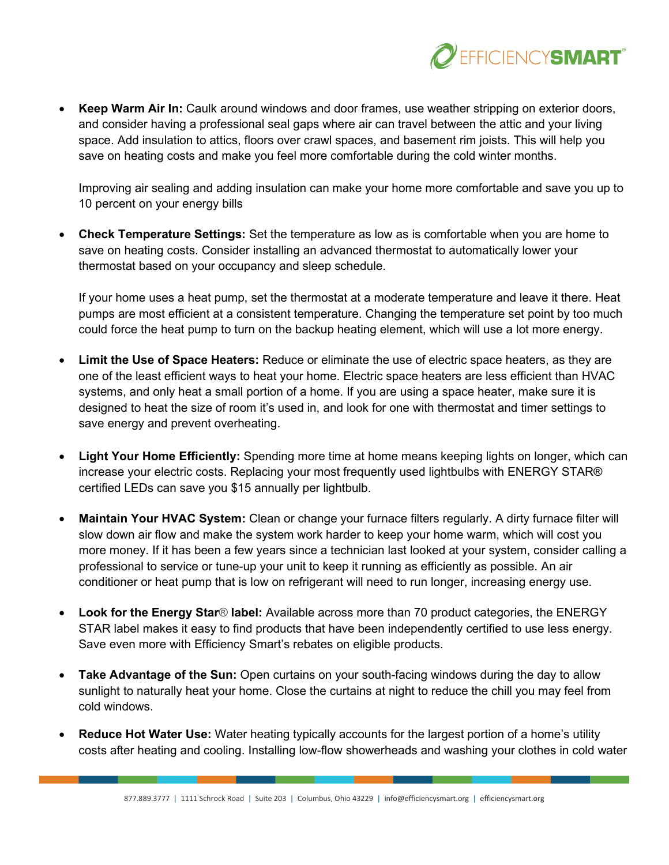

• **Keep Warm Air In:** Caulk around windows and door frames, use weather stripping on exterior doors, and consider having a professional seal gaps where air can travel between the attic and your living space. Add insulation to attics, floors over crawl spaces, and basement rim joists. This will help you save on heating costs and make you feel more comfortable during the cold winter months.

Improving air sealing and adding insulation can make your home more comfortable and save you up to 10 percent on your energy bills

• **Check Temperature Settings:** Set the temperature as low as is comfortable when you are home to save on heating costs. Consider installing an advanced thermostat to automatically lower your thermostat based on your occupancy and sleep schedule.

If your home uses a heat pump, set the thermostat at a moderate temperature and leave it there. Heat pumps are most efficient at a consistent temperature. Changing the temperature set point by too much could force the heat pump to turn on the backup heating element, which will use a lot more energy.

- **Limit the Use of Space Heaters:** Reduce or eliminate the use of electric space heaters, as they are one of the least efficient ways to heat your home. Electric space heaters are less efficient than HVAC systems, and only heat a small portion of a home. If you are using a space heater, make sure it is designed to heat the size of room it's used in, and look for one with thermostat and timer settings to save energy and prevent overheating.
- **Light Your Home Efficiently:** Spending more time at home means keeping lights on longer, which can increase your electric costs. Replacing your most frequently used lightbulbs with ENERGY STAR® certified LEDs can save you \$15 annually per lightbulb.
- **Maintain Your HVAC System:** Clean or change your furnace filters regularly. A dirty furnace filter will slow down air flow and make the system work harder to keep your home warm, which will cost you more money. If it has been a few years since a technician last looked at your system, consider calling a professional to service or tune-up your unit to keep it running as efficiently as possible. An air conditioner or heat pump that is low on refrigerant will need to run longer, increasing energy use.
- **Look for the Energy Star**® **label:** Available across more than 70 product categories, the ENERGY STAR label makes it easy to find products that have been independently certified to use less energy. Save even more with Efficiency Smart's rebates on eligible products.
- **Take Advantage of the Sun:** Open curtains on your south-facing windows during the day to allow sunlight to naturally heat your home. Close the curtains at night to reduce the chill you may feel from cold windows.
- **Reduce Hot Water Use:** Water heating typically accounts for the largest portion of a home's utility costs after heating and cooling. Installing low-flow showerheads and washing your clothes in cold water